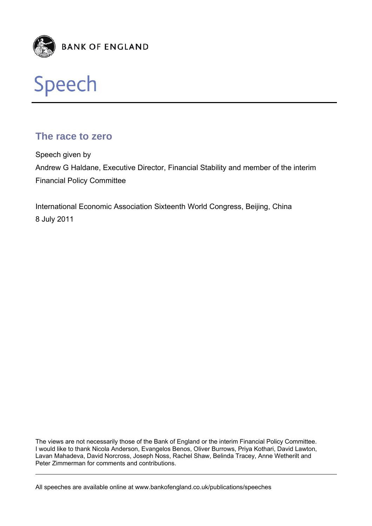



# **The race to zero**

Speech given by Andrew G Haldane, Executive Director, Financial Stability and member of the interim Financial Policy Committee

International Economic Association Sixteenth World Congress, Beijing, China 8 July 2011

The views are not necessarily those of the Bank of England or the interim Financial Policy Committee. I would like to thank Nicola Anderson, Evangelos Benos, Oliver Burrows, Priya Kothari, David Lawton, Lavan Mahadeva, David Norcross, Joseph Noss, Rachel Shaw, Belinda Tracey, Anne Wetherilt and Peter Zimmerman for comments and contributions.

All speeches are available online at www.bankofengland.co.uk/publications/speeches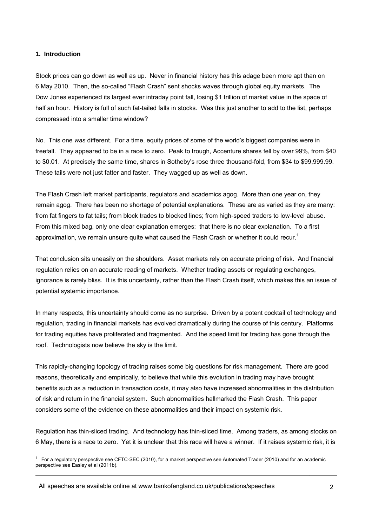### **1. Introduction**

Stock prices can go down as well as up. Never in financial history has this adage been more apt than on 6 May 2010. Then, the so-called "Flash Crash" sent shocks waves through global equity markets. The Dow Jones experienced its largest ever intraday point fall, losing \$1 trillion of market value in the space of half an hour. History is full of such fat-tailed falls in stocks. Was this just another to add to the list, perhaps compressed into a smaller time window?

No. This one *was* different. For a time, equity prices of some of the world's biggest companies were in freefall. They appeared to be in a race to zero. Peak to trough, Accenture shares fell by over 99%, from \$40 to \$0.01. At precisely the same time, shares in Sotheby's rose three thousand-fold, from \$34 to \$99,999.99. These tails were not just fatter and faster. They wagged up as well as down.

The Flash Crash left market participants, regulators and academics agog. More than one year on, they remain agog. There has been no shortage of potential explanations. These are as varied as they are many: from fat fingers to fat tails; from block trades to blocked lines; from high-speed traders to low-level abuse. From this mixed bag, only one clear explanation emerges: that there is no clear explanation. To a first approximation, we remain unsure quite what caused the Flash Crash or whether it could recur.<sup>1</sup>

That conclusion sits uneasily on the shoulders. Asset markets rely on accurate pricing of risk. And financial regulation relies on an accurate reading of markets. Whether trading assets or regulating exchanges, ignorance is rarely bliss. It is this uncertainty, rather than the Flash Crash itself, which makes this an issue of potential systemic importance.

In many respects, this uncertainty should come as no surprise. Driven by a potent cocktail of technology and regulation, trading in financial markets has evolved dramatically during the course of this century. Platforms for trading equities have proliferated and fragmented. And the speed limit for trading has gone through the roof. Technologists now believe the sky is the limit.

This rapidly-changing topology of trading raises some big questions for risk management. There are good reasons, theoretically and empirically, to believe that while this evolution in trading may have brought benefits such as a reduction in transaction costs, it may also have increased abnormalities in the distribution of risk and return in the financial system. Such abnormalities hallmarked the Flash Crash. This paper considers some of the evidence on these abnormalities and their impact on systemic risk.

Regulation has thin-sliced trading. And technology has thin-sliced time. Among traders, as among stocks on 6 May, there is a race to zero. Yet it is unclear that this race will have a winner. If it raises systemic risk, it is

l 1 For a regulatory perspective see CFTC-SEC (2010), for a market perspective see Automated Trader (2010) and for an academic perspective see Easley et al (2011b).

All speeches are available online at www.bankofengland.co.uk/publications/speeches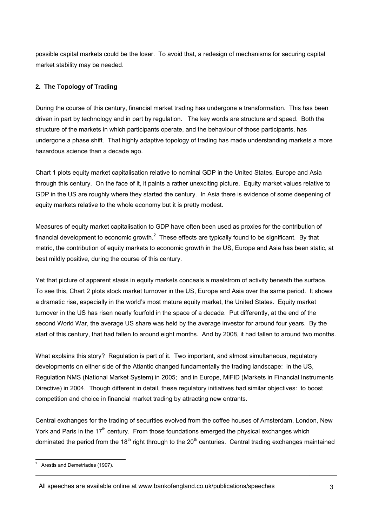possible capital markets could be the loser. To avoid that, a redesign of mechanisms for securing capital market stability may be needed.

# **2. The Topology of Trading**

During the course of this century, financial market trading has undergone a transformation. This has been driven in part by technology and in part by regulation. The key words are structure and speed. Both the structure of the markets in which participants operate, and the behaviour of those participants, has undergone a phase shift. That highly adaptive topology of trading has made understanding markets a more hazardous science than a decade ago.

Chart 1 plots equity market capitalisation relative to nominal GDP in the United States, Europe and Asia through this century. On the face of it, it paints a rather unexciting picture. Equity market values relative to GDP in the US are roughly where they started the century. In Asia there is evidence of some deepening of equity markets relative to the whole economy but it is pretty modest.

Measures of equity market capitalisation to GDP have often been used as proxies for the contribution of financial development to economic growth.<sup>2</sup> These effects are typically found to be significant. By that metric, the contribution of equity markets to economic growth in the US, Europe and Asia has been static, at best mildly positive, during the course of this century.

Yet that picture of apparent stasis in equity markets conceals a maelstrom of activity beneath the surface. To see this, Chart 2 plots stock market turnover in the US, Europe and Asia over the same period. It shows a dramatic rise, especially in the world's most mature equity market, the United States. Equity market turnover in the US has risen nearly fourfold in the space of a decade. Put differently, at the end of the second World War, the average US share was held by the average investor for around four years. By the start of this century, that had fallen to around eight months. And by 2008, it had fallen to around two months.

What explains this story? Regulation is part of it. Two important, and almost simultaneous, regulatory developments on either side of the Atlantic changed fundamentally the trading landscape: in the US, Regulation NMS (National Market System) in 2005; and in Europe, MiFID (Markets in Financial Instruments Directive) in 2004. Though different in detail, these regulatory initiatives had similar objectives: to boost competition and choice in financial market trading by attracting new entrants.

Central exchanges for the trading of securities evolved from the coffee houses of Amsterdam, London, New York and Paris in the 17<sup>th</sup> century. From those foundations emerged the physical exchanges which dominated the period from the 18<sup>th</sup> right through to the 20<sup>th</sup> centuries. Central trading exchanges maintained

<sup>&</sup>lt;sup>2</sup> Arestis and Demetriades (1997).

All speeches are available online at www.bankofengland.co.uk/publications/speeches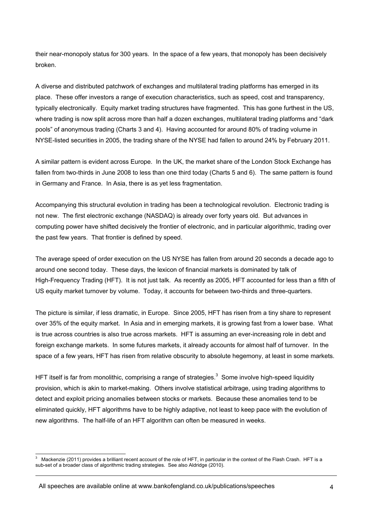their near-monopoly status for 300 years. In the space of a few years, that monopoly has been decisively broken.

A diverse and distributed patchwork of exchanges and multilateral trading platforms has emerged in its place. These offer investors a range of execution characteristics, such as speed, cost and transparency, typically electronically. Equity market trading structures have fragmented. This has gone furthest in the US, where trading is now split across more than half a dozen exchanges, multilateral trading platforms and "dark pools" of anonymous trading (Charts 3 and 4). Having accounted for around 80% of trading volume in NYSE-listed securities in 2005, the trading share of the NYSE had fallen to around 24% by February 2011.

A similar pattern is evident across Europe. In the UK, the market share of the London Stock Exchange has fallen from two-thirds in June 2008 to less than one third today (Charts 5 and 6). The same pattern is found in Germany and France. In Asia, there is as yet less fragmentation.

Accompanying this structural evolution in trading has been a technological revolution. Electronic trading is not new. The first electronic exchange (NASDAQ) is already over forty years old. But advances in computing power have shifted decisively the frontier of electronic, and in particular algorithmic, trading over the past few years. That frontier is defined by speed.

The average speed of order execution on the US NYSE has fallen from around 20 seconds a decade ago to around one second today. These days, the lexicon of financial markets is dominated by talk of High-Frequency Trading (HFT). It is not just talk. As recently as 2005, HFT accounted for less than a fifth of US equity market turnover by volume. Today, it accounts for between two-thirds and three-quarters.

The picture is similar, if less dramatic, in Europe. Since 2005, HFT has risen from a tiny share to represent over 35% of the equity market. In Asia and in emerging markets, it is growing fast from a lower base. What is true across countries is also true across markets. HFT is assuming an ever-increasing role in debt and foreign exchange markets. In some futures markets, it already accounts for almost half of turnover. In the space of a few years, HFT has risen from relative obscurity to absolute hegemony, at least in some markets.

HFT itself is far from monolithic, comprising a range of strategies.<sup>3</sup> Some involve high-speed liquidity provision, which is akin to market-making. Others involve statistical arbitrage, using trading algorithms to detect and exploit pricing anomalies between stocks or markets. Because these anomalies tend to be eliminated quickly, HFT algorithms have to be highly adaptive, not least to keep pace with the evolution of new algorithms. The half-life of an HFT algorithm can often be measured in weeks.

l

<sup>3</sup> Mackenzie (2011) provides a brilliant recent account of the role of HFT, in particular in the context of the Flash Crash. HFT is a sub-set of a broader class of algorithmic trading strategies. See also Aldridge (2010).

All speeches are available online at www.bankofengland.co.uk/publications/speeches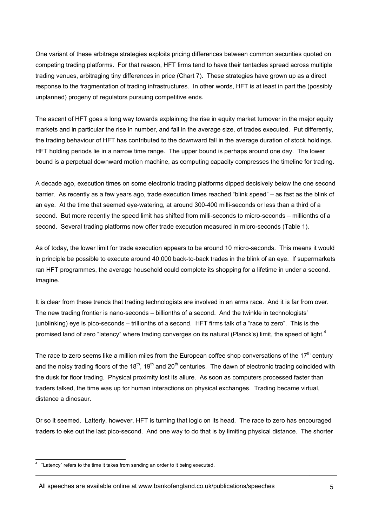One variant of these arbitrage strategies exploits pricing differences between common securities quoted on competing trading platforms. For that reason, HFT firms tend to have their tentacles spread across multiple trading venues, arbitraging tiny differences in price (Chart 7). These strategies have grown up as a direct response to the fragmentation of trading infrastructures. In other words, HFT is at least in part the (possibly unplanned) progeny of regulators pursuing competitive ends.

The ascent of HFT goes a long way towards explaining the rise in equity market turnover in the major equity markets and in particular the rise in number, and fall in the average size, of trades executed. Put differently, the trading behaviour of HFT has contributed to the downward fall in the average duration of stock holdings. HFT holding periods lie in a narrow time range. The upper bound is perhaps around one day. The lower bound is a perpetual downward motion machine, as computing capacity compresses the timeline for trading.

A decade ago, execution times on some electronic trading platforms dipped decisively below the one second barrier. As recently as a few years ago, trade execution times reached "blink speed" – as fast as the blink of an eye. At the time that seemed eye-watering, at around 300-400 milli-seconds or less than a third of a second. But more recently the speed limit has shifted from milli-seconds to micro-seconds – millionths of a second. Several trading platforms now offer trade execution measured in micro-seconds (Table 1).

As of today, the lower limit for trade execution appears to be around 10 micro-seconds. This means it would in principle be possible to execute around 40,000 back-to-back trades in the blink of an eye. If supermarkets ran HFT programmes, the average household could complete its shopping for a lifetime in under a second. Imagine.

It is clear from these trends that trading technologists are involved in an arms race. And it is far from over. The new trading frontier is nano-seconds – billionths of a second. And the twinkle in technologists' (unblinking) eye is pico-seconds – trillionths of a second. HFT firms talk of a "race to zero". This is the promised land of zero "latency" where trading converges on its natural (Planck's) limit, the speed of light.<sup>4</sup>

The race to zero seems like a million miles from the European coffee shop conversations of the  $17<sup>th</sup>$  century and the noisy trading floors of the 18<sup>th</sup>, 19<sup>th</sup> and 20<sup>th</sup> centuries. The dawn of electronic trading coincided with the dusk for floor trading. Physical proximity lost its allure. As soon as computers processed faster than traders talked, the time was up for human interactions on physical exchanges. Trading became virtual, distance a dinosaur.

Or so it seemed. Latterly, however, HFT is turning that logic on its head. The race to zero has encouraged traders to eke out the last pico-second. And one way to do that is by limiting physical distance. The shorter

 4 "Latency" refers to the time it takes from sending an order to it being executed.

All speeches are available online at www.bankofengland.co.uk/publications/speeches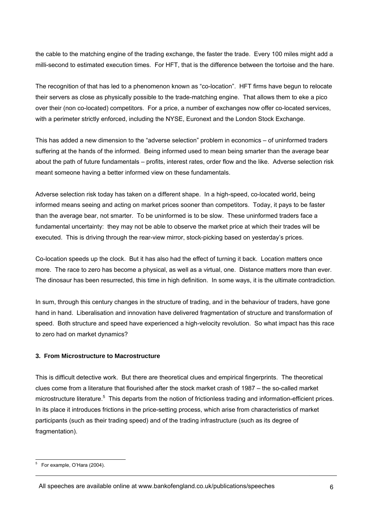the cable to the matching engine of the trading exchange, the faster the trade. Every 100 miles might add a milli-second to estimated execution times. For HFT, that is the difference between the tortoise and the hare.

The recognition of that has led to a phenomenon known as "co-location". HFT firms have begun to relocate their servers as close as physically possible to the trade-matching engine. That allows them to eke a pico over their (non co-located) competitors. For a price, a number of exchanges now offer co-located services, with a perimeter strictly enforced, including the NYSE, Euronext and the London Stock Exchange.

This has added a new dimension to the "adverse selection" problem in economics – of uninformed traders suffering at the hands of the informed. Being informed used to mean being smarter than the average bear about the path of future fundamentals – profits, interest rates, order flow and the like. Adverse selection risk meant someone having a better informed view on these fundamentals.

Adverse selection risk today has taken on a different shape. In a high-speed, co-located world, being informed means seeing and acting on market prices sooner than competitors. Today, it pays to be faster than the average bear, not smarter. To be uninformed is to be slow. These uninformed traders face a fundamental uncertainty: they may not be able to observe the market price at which their trades will be executed. This is driving through the rear-view mirror, stock-picking based on yesterday's prices.

Co-location speeds up the clock. But it has also had the effect of turning it back. Location matters once more. The race to zero has become a physical, as well as a virtual, one. Distance matters more than ever. The dinosaur has been resurrected, this time in high definition. In some ways, it is the ultimate contradiction.

In sum, through this century changes in the structure of trading, and in the behaviour of traders, have gone hand in hand. Liberalisation and innovation have delivered fragmentation of structure and transformation of speed. Both structure and speed have experienced a high-velocity revolution. So what impact has this race to zero had on market dynamics?

# **3. From Microstructure to Macrostructure**

This is difficult detective work. But there are theoretical clues and empirical fingerprints. The theoretical clues come from a literature that flourished after the stock market crash of 1987 – the so-called market microstructure literature.<sup>5</sup> This departs from the notion of frictionless trading and information-efficient prices. In its place it introduces frictions in the price-setting process, which arise from characteristics of market participants (such as their trading speed) and of the trading infrastructure (such as its degree of fragmentation).

 5 For example, O'Hara (2004).

All speeches are available online at www.bankofengland.co.uk/publications/speeches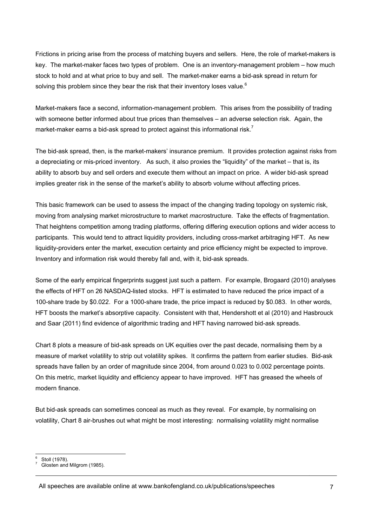Frictions in pricing arise from the process of matching buyers and sellers. Here, the role of market-makers is key. The market-maker faces two types of problem. One is an inventory-management problem – how much stock to hold and at what price to buy and sell. The market-maker earns a bid-ask spread in return for solving this problem since they bear the risk that their inventory loses value.<sup>6</sup>

Market-makers face a second, information-management problem. This arises from the possibility of trading with someone better informed about true prices than themselves – an adverse selection risk. Again, the market-maker earns a bid-ask spread to protect against this informational risk.<sup>7</sup>

The bid-ask spread, then, is the market-makers' insurance premium. It provides protection against risks from a depreciating or mis-priced inventory. As such, it also proxies the "liquidity" of the market – that is, its ability to absorb buy and sell orders and execute them without an impact on price. A wider bid-ask spread implies greater risk in the sense of the market's ability to absorb volume without affecting prices.

This basic framework can be used to assess the impact of the changing trading topology on systemic risk, moving from analysing market microstructure to market *macro*structure. Take the effects of fragmentation. That heightens competition among trading platforms, offering differing execution options and wider access to participants. This would tend to attract liquidity providers, including cross-market arbitraging HFT. As new liquidity-providers enter the market, execution certainty and price efficiency might be expected to improve. Inventory and information risk would thereby fall and, with it, bid-ask spreads.

Some of the early empirical fingerprints suggest just such a pattern. For example, Brogaard (2010) analyses the effects of HFT on 26 NASDAQ-listed stocks. HFT is estimated to have reduced the price impact of a 100-share trade by \$0.022. For a 1000-share trade, the price impact is reduced by \$0.083. In other words, HFT boosts the market's absorptive capacity. Consistent with that, Hendershott et al (2010) and Hasbrouck and Saar (2011) find evidence of algorithmic trading and HFT having narrowed bid-ask spreads.

Chart 8 plots a measure of bid-ask spreads on UK equities over the past decade, normalising them by a measure of market volatility to strip out volatility spikes. It confirms the pattern from earlier studies. Bid-ask spreads have fallen by an order of magnitude since 2004, from around 0.023 to 0.002 percentage points. On this metric, market liquidity and efficiency appear to have improved. HFT has greased the wheels of modern finance.

But bid-ask spreads can sometimes conceal as much as they reveal. For example, by normalising on volatility, Chart 8 air-brushes out what might be most interesting: normalising volatility might normalise

l 6 Stoll (1978).

<sup>7</sup> Glosten and Milgrom (1985).

All speeches are available online at www.bankofengland.co.uk/publications/speeches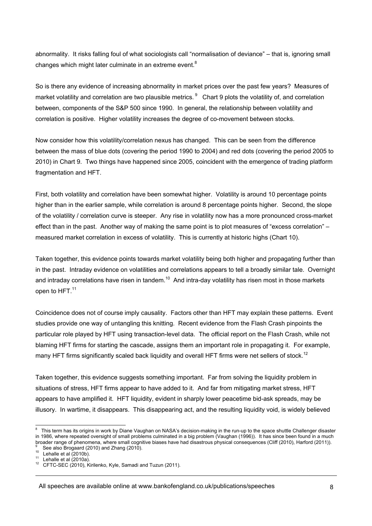abnormality. It risks falling foul of what sociologists call "normalisation of deviance" – that is, ignoring small changes which might later culminate in an extreme event. $8$ 

So is there any evidence of increasing abnormality in market prices over the past few years? Measures of market volatility and correlation are two plausible metrics.  $9$  Chart 9 plots the volatility of, and correlation between, components of the S&P 500 since 1990. In general, the relationship between volatility and correlation is positive. Higher volatility increases the degree of co-movement between stocks.

Now consider how this volatility/correlation nexus has changed. This can be seen from the difference between the mass of blue dots (covering the period 1990 to 2004) and red dots (covering the period 2005 to 2010) in Chart 9. Two things have happened since 2005, coincident with the emergence of trading platform fragmentation and HFT.

First, both volatility and correlation have been somewhat higher. Volatility is around 10 percentage points higher than in the earlier sample, while correlation is around 8 percentage points higher. Second, the slope of the volatility / correlation curve is steeper. Any rise in volatility now has a more pronounced cross-market effect than in the past. Another way of making the same point is to plot measures of "excess correlation" – measured market correlation in excess of volatility. This is currently at historic highs (Chart 10).

Taken together, this evidence points towards market volatility being both higher and propagating further than in the past. Intraday evidence on volatilities and correlations appears to tell a broadly similar tale. Overnight and intraday correlations have risen in tandem.<sup>10</sup> And intra-day volatility has risen most in those markets open to HFT.<sup>11</sup>

Coincidence does not of course imply causality. Factors other than HFT may explain these patterns. Event studies provide one way of untangling this knitting. Recent evidence from the Flash Crash pinpoints the particular role played by HFT using transaction-level data. The official report on the Flash Crash, while not blaming HFT firms for starting the cascade, assigns them an important role in propagating it. For example, many HFT firms significantly scaled back liquidity and overall HFT firms were net sellers of stock.<sup>12</sup>

Taken together, this evidence suggests something important. Far from solving the liquidity problem in situations of stress, HFT firms appear to have added to it. And far from mitigating market stress, HFT appears to have amplified it. HFT liquidity, evident in sharply lower peacetime bid-ask spreads, may be illusory. In wartime, it disappears. This disappearing act, and the resulting liquidity void, is widely believed

All speeches are available online at www.bankofengland.co.uk/publications/speeches

 8 This term has its origins in work by Diane Vaughan on NASA's decision-making in the run-up to the space shuttle Challenger disaster in 1986, where repeated oversight of small problems culminated in a big problem (Vaughan (1996)). It has since been found in a much broader range of phenomena, where small cognitive biases have had disastrous physical consequences (Cliff (2010), Harford (2011)).<br><sup>9</sup> See also Brogaard (2010) and Zhang (2010).<br><sup>10</sup> Lehalle et al (2010b).<br><sup>11</sup> Lehalle et

See also Brogaard (2010) and Zhang (2010).

<sup>12</sup> CFTC-SEC (2010), Kirilenko, Kyle, Samadi and Tuzun (2011).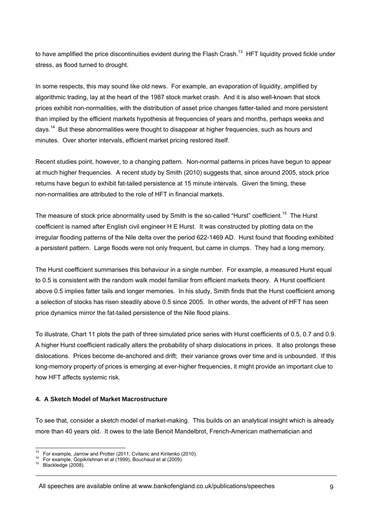to have amplified the price discontinuities evident during the Flash Crash.<sup>13</sup> HFT liquidity proved fickle under stress, as flood turned to drought.

In some respects, this may sound like old news. For example, an evaporation of liquidity, amplified by algorithmic trading, lay at the heart of the 1987 stock market crash. And it is also well-known that stock prices exhibit non-normalities, with the distribution of asset price changes fatter-tailed and more persistent than implied by the efficient markets hypothesis at frequencies of years and months, perhaps weeks and days.<sup>14</sup> But these abnormalities were thought to disappear at higher frequencies, such as hours and minutes. Over shorter intervals, efficient market pricing restored itself.

Recent studies point, however, to a changing pattern. Non-normal patterns in prices have begun to appear at much higher frequencies. A recent study by Smith (2010) suggests that, since around 2005, stock price returns have begun to exhibit fat-tailed persistence at 15 minute intervals. Given the timing, these non-normalities are attributed to the role of HFT in financial markets.

The measure of stock price abnormality used by Smith is the so-called "Hurst" coefficient.<sup>15</sup> The Hurst coefficient is named after English civil engineer H E Hurst. It was constructed by plotting data on the irregular flooding patterns of the Nile delta over the period 622-1469 AD. Hurst found that flooding exhibited a persistent pattern. Large floods were not only frequent, but came in clumps. They had a long memory.

The Hurst coefficient summarises this behaviour in a single number. For example, a measured Hurst equal to 0.5 is consistent with the random walk model familiar from efficient markets theory. A Hurst coefficient above 0.5 implies fatter tails and longer memories. In his study, Smith finds that the Hurst coefficient among a selection of stocks has risen steadily above 0.5 since 2005. In other words, the advent of HFT has seen price dynamics mirror the fat-tailed persistence of the Nile flood plains.

To illustrate, Chart 11 plots the path of three simulated price series with Hurst coefficients of 0.5, 0.7 and 0.9. A higher Hurst coefficient radically alters the probability of sharp dislocations in prices. It also prolongs these dislocations. Prices become de-anchored and drift; their variance grows over time and is unbounded. If this long-memory property of prices is emerging at ever-higher frequencies, it might provide an important clue to how HFT affects systemic risk.

# **4. A Sketch Model of Market Macrostructure**

To see that, consider a sketch model of market-making. This builds on an analytical insight which is already more than 40 years old. It owes to the late Benoit Mandelbrot, French-American mathematician and

<sup>&</sup>lt;sup>13</sup> For example, Jarrow and Protter (2011, Cvitanic and Kirilenko (2010).

<sup>14</sup> For example, Gopikrishnan et al (1999), Bouchaud et al (2009).<br><sup>15</sup> Blackledge (2008).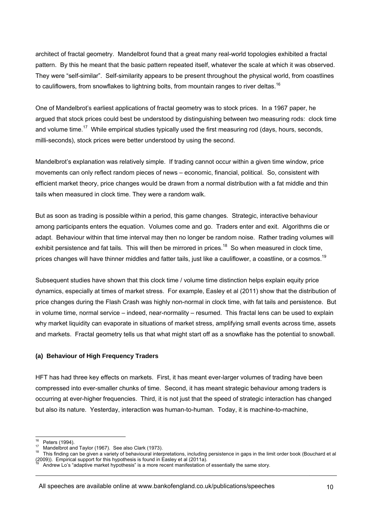architect of fractal geometry. Mandelbrot found that a great many real-world topologies exhibited a fractal pattern. By this he meant that the basic pattern repeated itself, whatever the scale at which it was observed. They were "self-similar". Self-similarity appears to be present throughout the physical world, from coastlines to cauliflowers, from snowflakes to lightning bolts, from mountain ranges to river deltas.<sup>16</sup>

One of Mandelbrot's earliest applications of fractal geometry was to stock prices. In a 1967 paper, he argued that stock prices could best be understood by distinguishing between two measuring rods: clock time and volume time.<sup>17</sup> While empirical studies typically used the first measuring rod (days, hours, seconds, milli-seconds), stock prices were better understood by using the second.

Mandelbrot's explanation was relatively simple. If trading cannot occur within a given time window, price movements can only reflect random pieces of news – economic, financial, political. So, consistent with efficient market theory, price changes would be drawn from a normal distribution with a fat middle and thin tails when measured in clock time. They were a random walk.

But as soon as trading is possible within a period, this game changes. Strategic, interactive behaviour among participants enters the equation. Volumes come and go. Traders enter and exit. Algorithms die or adapt. Behaviour within that time interval may then no longer be random noise. Rather trading volumes will exhibit persistence and fat tails. This will then be mirrored in prices.<sup>18</sup> So when measured in clock time, prices changes will have thinner middles and fatter tails, just like a cauliflower, a coastline, or a cosmos.<sup>19</sup>

Subsequent studies have shown that this clock time / volume time distinction helps explain equity price dynamics, especially at times of market stress. For example, Easley et al (2011) show that the distribution of price changes during the Flash Crash was highly non-normal in clock time, with fat tails and persistence. But in volume time, normal service – indeed, near-normality – resumed. This fractal lens can be used to explain why market liquidity can evaporate in situations of market stress, amplifying small events across time, assets and markets. Fractal geometry tells us that what might start off as a snowflake has the potential to snowball.

#### **(a) Behaviour of High Frequency Traders**

HFT has had three key effects on markets. First, it has meant ever-larger volumes of trading have been compressed into ever-smaller chunks of time. Second, it has meant strategic behaviour among traders is occurring at ever-higher frequencies. Third, it is not just that the speed of strategic interaction has changed but also its nature. Yesterday, interaction was human-to-human. Today, it is machine-to-machine,

All speeches are available online at www.bankofengland.co.uk/publications/speeches

 $16$ 

<sup>&</sup>lt;sup>16</sup> Peters (1994).<br><sup>17</sup> Mandelbrot and Taylor (1967). See also Clark (1973).<br><sup>18</sup> This finding can be given a variety of behavioural interpretations, including persistence in gaps in the limit order book (Bouchard et al<br>

Andrew Lo's "adaptive market hypothesis" is a more recent manifestation of essentially the same story.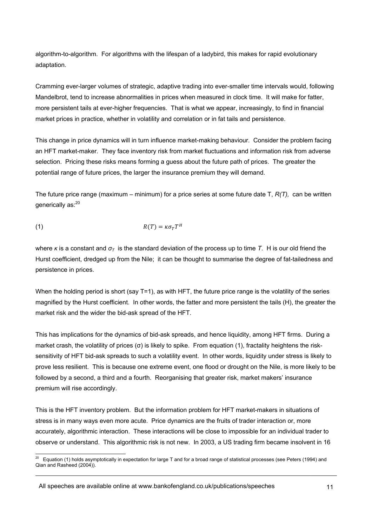algorithm-to-algorithm. For algorithms with the lifespan of a ladybird, this makes for rapid evolutionary adaptation.

Cramming ever-larger volumes of strategic, adaptive trading into ever-smaller time intervals would, following Mandelbrot, tend to increase abnormalities in prices when measured in clock time. It will make for fatter, more persistent tails at ever-higher frequencies. That is what we appear, increasingly, to find in financial market prices in practice, whether in volatility and correlation or in fat tails and persistence.

This change in price dynamics will in turn influence market-making behaviour. Consider the problem facing an HFT market-maker. They face inventory risk from market fluctuations and information risk from adverse selection. Pricing these risks means forming a guess about the future path of prices. The greater the potential range of future prices, the larger the insurance premium they will demand.

The future price range (maximum – minimum) for a price series at some future date T, *R(T),* can be written generically  $as:^{20}$ 

$$
R(T) = \kappa \sigma_T T^H
$$

where  $\kappa$  is a constant and  $\sigma_T$  is the standard deviation of the process up to time T. H is our old friend the Hurst coefficient, dredged up from the Nile; it can be thought to summarise the degree of fat-tailedness and persistence in prices.

When the holding period is short (say T=1), as with HFT, the future price range is the volatility of the series magnified by the Hurst coefficient. In other words, the fatter and more persistent the tails (H), the greater the market risk and the wider the bid-ask spread of the HFT.

This has implications for the dynamics of bid-ask spreads, and hence liquidity, among HFT firms. During a market crash, the volatility of prices (σ) is likely to spike. From equation (1), fractality heightens the risksensitivity of HFT bid-ask spreads to such a volatility event. In other words, liquidity under stress is likely to prove less resilient. This is because one extreme event, one flood or drought on the Nile, is more likely to be followed by a second, a third and a fourth. Reorganising that greater risk, market makers' insurance premium will rise accordingly.

This is the HFT inventory problem. But the information problem for HFT market-makers in situations of stress is in many ways even more acute. Price dynamics are the fruits of trader interaction or, more accurately, algorithmic interaction. These interactions will be close to impossible for an individual trader to observe or understand. This algorithmic risk is not new. In 2003, a US trading firm became insolvent in 16

All speeches are available online at www.bankofengland.co.uk/publications/speeches

l <sup>20</sup> Equation (1) holds asymptotically in expectation for large T and for a broad range of statistical processes (see Peters (1994) and Qian and Rasheed (2004)).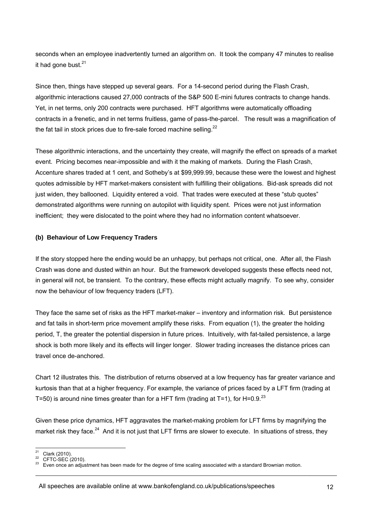seconds when an employee inadvertently turned an algorithm on. It took the company 47 minutes to realise it had gone bust. $21$ 

Since then, things have stepped up several gears. For a 14-second period during the Flash Crash, algorithmic interactions caused 27,000 contracts of the S&P 500 E-mini futures contracts to change hands. Yet, in net terms, only 200 contracts were purchased. HFT algorithms were automatically offloading contracts in a frenetic, and in net terms fruitless, game of pass-the-parcel. The result was a magnification of the fat tail in stock prices due to fire-sale forced machine selling. $22$ 

These algorithmic interactions, and the uncertainty they create, will magnify the effect on spreads of a market event. Pricing becomes near-impossible and with it the making of markets. During the Flash Crash, Accenture shares traded at 1 cent, and Sotheby's at \$99,999.99, because these were the lowest and highest quotes admissible by HFT market-makers consistent with fulfilling their obligations. Bid-ask spreads did not just widen, they ballooned. Liquidity entered a void. That trades were executed at these "stub quotes" demonstrated algorithms were running on autopilot with liquidity spent. Prices were not just information inefficient; they were dislocated to the point where they had no information content whatsoever.

# **(b) Behaviour of Low Frequency Traders**

If the story stopped here the ending would be an unhappy, but perhaps not critical, one. After all, the Flash Crash was done and dusted within an hour. But the framework developed suggests these effects need not, in general will not, be transient. To the contrary, these effects might actually magnify. To see why, consider now the behaviour of low frequency traders (LFT).

They face the same set of risks as the HFT market-maker – inventory and information risk. But persistence and fat tails in short-term price movement amplify these risks. From equation (1), the greater the holding period, T, the greater the potential dispersion in future prices. Intuitively, with fat-tailed persistence, a large shock is both more likely and its effects will linger longer. Slower trading increases the distance prices can travel once de-anchored.

Chart 12 illustrates this. The distribution of returns observed at a low frequency has far greater variance and kurtosis than that at a higher frequency. For example, the variance of prices faced by a LFT firm (trading at T=50) is around nine times greater than for a HFT firm (trading at T=1), for H=0.9.<sup>23</sup>

Given these price dynamics, HFT aggravates the market-making problem for LFT firms by magnifying the market risk they face.<sup>24</sup> And it is not just that LFT firms are slower to execute. In situations of stress, they

 $21$  Clark (2010).

<sup>22</sup> CFTC-SEC (2010).<br>
<sup>22</sup> CFTC-SEC (2010).<br>
<sup>23</sup> Even once an adjustment has been made for the degree of time scaling associated with a standard Brownian motion.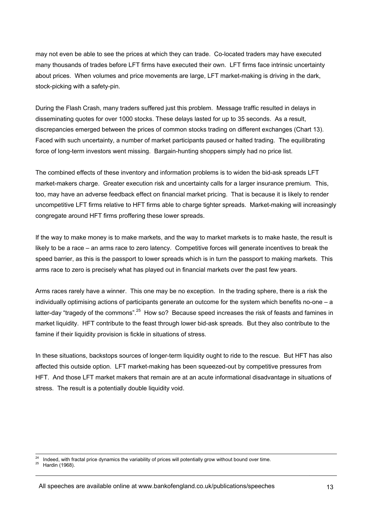may not even be able to see the prices at which they can trade. Co-located traders may have executed many thousands of trades before LFT firms have executed their own. LFT firms face intrinsic uncertainty about prices. When volumes and price movements are large, LFT market-making is driving in the dark, stock-picking with a safety-pin.

During the Flash Crash, many traders suffered just this problem. Message traffic resulted in delays in disseminating quotes for over 1000 stocks. These delays lasted for up to 35 seconds. As a result, discrepancies emerged between the prices of common stocks trading on different exchanges (Chart 13). Faced with such uncertainty, a number of market participants paused or halted trading. The equilibrating force of long-term investors went missing. Bargain-hunting shoppers simply had no price list.

The combined effects of these inventory and information problems is to widen the bid-ask spreads LFT market-makers charge. Greater execution risk and uncertainty calls for a larger insurance premium. This, too, may have an adverse feedback effect on financial market pricing. That is because it is likely to render uncompetitive LFT firms relative to HFT firms able to charge tighter spreads. Market-making will increasingly congregate around HFT firms proffering these lower spreads.

If the way to make money is to make markets, and the way to market markets is to make haste, the result is likely to be a race – an arms race to zero latency. Competitive forces will generate incentives to break the speed barrier, as this is the passport to lower spreads which is in turn the passport to making markets. This arms race to zero is precisely what has played out in financial markets over the past few years.

Arms races rarely have a winner. This one may be no exception. In the trading sphere, there is a risk the individually optimising actions of participants generate an outcome for the system which benefits no-one – a latter-day "tragedy of the commons".<sup>25</sup> How so? Because speed increases the risk of feasts and famines in market liquidity. HFT contribute to the feast through lower bid-ask spreads. But they also contribute to the famine if their liquidity provision is fickle in situations of stress.

In these situations, backstops sources of longer-term liquidity ought to ride to the rescue. But HFT has also affected this outside option. LFT market-making has been squeezed-out by competitive pressures from HFT. And those LFT market makers that remain are at an acute informational disadvantage in situations of stress. The result is a potentially double liquidity void.

<sup>&</sup>lt;sup>24</sup> Indeed, with fractal price dynamics the variability of prices will potentially grow without bound over time.<br><sup>25</sup> Hardin (1968).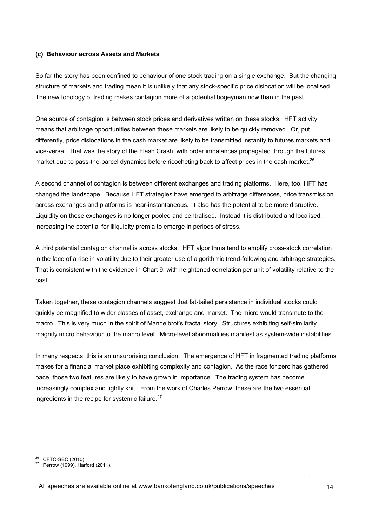### **(c) Behaviour across Assets and Markets**

So far the story has been confined to behaviour of one stock trading on a single exchange. But the changing structure of markets and trading mean it is unlikely that any stock-specific price dislocation will be localised. The new topology of trading makes contagion more of a potential bogeyman now than in the past.

One source of contagion is between stock prices and derivatives written on these stocks. HFT activity means that arbitrage opportunities between these markets are likely to be quickly removed. Or, put differently, price dislocations in the cash market are likely to be transmitted instantly to futures markets and vice-versa. That was the story of the Flash Crash, with order imbalances propagated through the futures market due to pass-the-parcel dynamics before ricocheting back to affect prices in the cash market.<sup>26</sup>

A second channel of contagion is between different exchanges and trading platforms. Here, too, HFT has changed the landscape. Because HFT strategies have emerged to arbitrage differences, price transmission across exchanges and platforms is near-instantaneous. It also has the potential to be more disruptive. Liquidity on these exchanges is no longer pooled and centralised. Instead it is distributed and localised, increasing the potential for illiquidity premia to emerge in periods of stress.

A third potential contagion channel is across stocks. HFT algorithms tend to amplify cross-stock correlation in the face of a rise in volatility due to their greater use of algorithmic trend-following and arbitrage strategies. That is consistent with the evidence in Chart 9, with heightened correlation per unit of volatility relative to the past.

Taken together, these contagion channels suggest that fat-tailed persistence in individual stocks could quickly be magnified to wider classes of asset, exchange and market. The micro would transmute to the macro. This is very much in the spirit of Mandelbrot's fractal story. Structures exhibiting self-similarity magnify micro behaviour to the macro level. Micro-level abnormalities manifest as system-wide instabilities.

In many respects, this is an unsurprising conclusion. The emergence of HFT in fragmented trading platforms makes for a financial market place exhibiting complexity and contagion. As the race for zero has gathered pace, those two features are likely to have grown in importance. The trading system has become increasingly complex and tightly knit. From the work of Charles Perrow, these are the two essential ingredients in the recipe for systemic failure. $27$ 

<sup>26</sup> CFTC-SEC (2010).

 $27$  Perrow (1999), Harford (2011).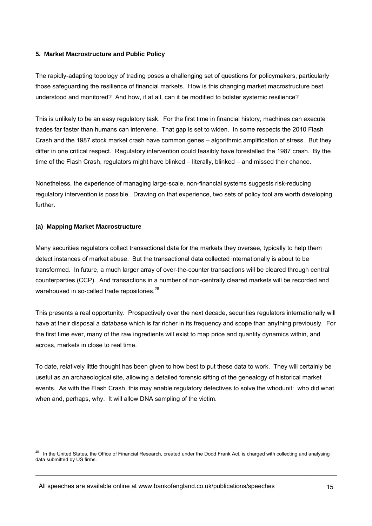# **5. Market Macrostructure and Public Policy**

The rapidly-adapting topology of trading poses a challenging set of questions for policymakers, particularly those safeguarding the resilience of financial markets. How is this changing market macrostructure best understood and monitored? And how, if at all, can it be modified to bolster systemic resilience?

This is unlikely to be an easy regulatory task. For the first time in financial history, machines can execute trades far faster than humans can intervene. That gap is set to widen. In some respects the 2010 Flash Crash and the 1987 stock market crash have common genes – algorithmic amplification of stress. But they differ in one critical respect. Regulatory intervention could feasibly have forestalled the 1987 crash. By the time of the Flash Crash, regulators might have blinked – literally, blinked – and missed their chance.

Nonetheless, the experience of managing large-scale, non-financial systems suggests risk-reducing regulatory intervention is possible. Drawing on that experience, two sets of policy tool are worth developing further.

# **(a) Mapping Market Macrostructure**

Many securities regulators collect transactional data for the markets they oversee, typically to help them detect instances of market abuse. But the transactional data collected internationally is about to be transformed. In future, a much larger array of over-the-counter transactions will be cleared through central counterparties (CCP). And transactions in a number of non-centrally cleared markets will be recorded and warehoused in so-called trade repositories.<sup>28</sup>

This presents a real opportunity. Prospectively over the next decade, securities regulators internationally will have at their disposal a database which is far richer in its frequency and scope than anything previously. For the first time ever, many of the raw ingredients will exist to map price and quantity dynamics within, and across, markets in close to real time.

To date, relatively little thought has been given to how best to put these data to work. They will certainly be useful as an archaeological site, allowing a detailed forensic sifting of the genealogy of historical market events. As with the Flash Crash, this may enable regulatory detectives to solve the whodunit: who did what when and, perhaps, why. It will allow DNA sampling of the victim.

l In the United States, the Office of Financial Research, created under the Dodd Frank Act, is charged with collecting and analysing data submitted by US firms.

All speeches are available online at www.bankofengland.co.uk/publications/speeches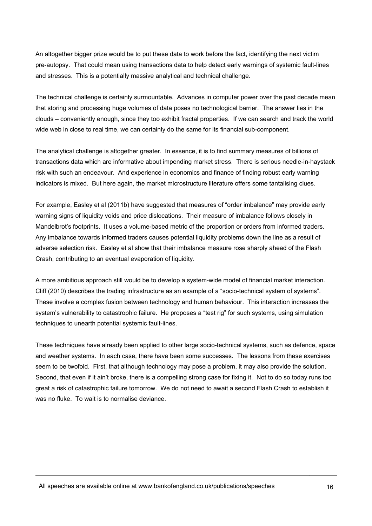An altogether bigger prize would be to put these data to work before the fact, identifying the next victim pre-autopsy. That could mean using transactions data to help detect early warnings of systemic fault-lines and stresses. This is a potentially massive analytical and technical challenge.

The technical challenge is certainly surmountable. Advances in computer power over the past decade mean that storing and processing huge volumes of data poses no technological barrier. The answer lies in the clouds – conveniently enough, since they too exhibit fractal properties. If we can search and track the world wide web in close to real time, we can certainly do the same for its financial sub-component.

The analytical challenge is altogether greater. In essence, it is to find summary measures of billions of transactions data which are informative about impending market stress. There is serious needle-in-haystack risk with such an endeavour. And experience in economics and finance of finding robust early warning indicators is mixed. But here again, the market microstructure literature offers some tantalising clues.

For example, Easley et al (2011b) have suggested that measures of "order imbalance" may provide early warning signs of liquidity voids and price dislocations. Their measure of imbalance follows closely in Mandelbrot's footprints. It uses a volume-based metric of the proportion or orders from informed traders. Any imbalance towards informed traders causes potential liquidity problems down the line as a result of adverse selection risk. Easley et al show that their imbalance measure rose sharply ahead of the Flash Crash, contributing to an eventual evaporation of liquidity.

A more ambitious approach still would be to develop a system-wide model of financial market interaction. Cliff (2010) describes the trading infrastructure as an example of a "socio-technical system of systems". These involve a complex fusion between technology and human behaviour. This interaction increases the system's vulnerability to catastrophic failure. He proposes a "test rig" for such systems, using simulation techniques to unearth potential systemic fault-lines.

These techniques have already been applied to other large socio-technical systems, such as defence, space and weather systems. In each case, there have been some successes. The lessons from these exercises seem to be twofold. First, that although technology may pose a problem, it may also provide the solution. Second, that even if it ain't broke, there is a compelling strong case for fixing it. Not to do so today runs too great a risk of catastrophic failure tomorrow. We do not need to await a second Flash Crash to establish it was no fluke. To wait is to normalise deviance.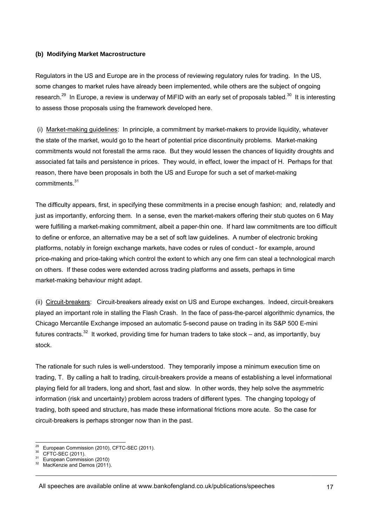#### **(b) Modifying Market Macrostructure**

Regulators in the US and Europe are in the process of reviewing regulatory rules for trading. In the US, some changes to market rules have already been implemented, while others are the subject of ongoing research.<sup>29</sup> In Europe, a review is underway of MiFID with an early set of proposals tabled.<sup>30</sup> It is interesting to assess those proposals using the framework developed here.

 (i) Market-making guidelines: In principle, a commitment by market-makers to provide liquidity, whatever the state of the market, would go to the heart of potential price discontinuity problems. Market-making commitments would not forestall the arms race. But they would lessen the chances of liquidity droughts and associated fat tails and persistence in prices. They would, in effect, lower the impact of H. Perhaps for that reason, there have been proposals in both the US and Europe for such a set of market-making commitments<sup>31</sup>

The difficulty appears, first, in specifying these commitments in a precise enough fashion; and, relatedly and just as importantly, enforcing them. In a sense, even the market-makers offering their stub quotes on 6 May were fulfilling a market-making commitment, albeit a paper-thin one. If hard law commitments are too difficult to define or enforce, an alternative may be a set of soft law guidelines. A number of electronic broking platforms, notably in foreign exchange markets, have codes or rules of conduct - for example, around price-making and price-taking which control the extent to which any one firm can steal a technological march on others. If these codes were extended across trading platforms and assets, perhaps in time market-making behaviour might adapt.

(ii) Circuit-breakers: Circuit-breakers already exist on US and Europe exchanges. Indeed, circuit-breakers played an important role in stalling the Flash Crash. In the face of pass-the-parcel algorithmic dynamics, the Chicago Mercantile Exchange imposed an automatic 5-second pause on trading in its S&P 500 E-mini futures contracts.<sup>32</sup> It worked, providing time for human traders to take stock – and, as importantly, buy stock.

The rationale for such rules is well-understood. They temporarily impose a minimum execution time on trading, T. By calling a halt to trading, circuit-breakers provide a means of establishing a level informational playing field for all traders, long and short, fast and slow. In other words, they help solve the asymmetric information (risk and uncertainty) problem across traders of different types. The changing topology of trading, both speed and structure, has made these informational frictions more acute. So the case for circuit-breakers is perhaps stronger now than in the past.

<sup>&</sup>lt;sup>29</sup> European Commission (2010), CFTC-SEC (2011).

<sup>&</sup>lt;sup>30</sup> CFTC-SEC (2011).<br><sup>31</sup> European Commission (2010)<br><sup>32</sup> MacKenzie and Demos (2011).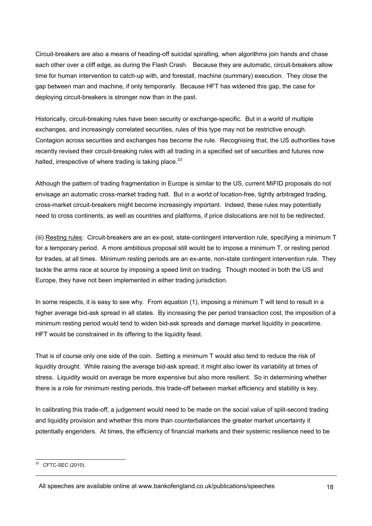Circuit-breakers are also a means of heading-off suicidal spiralling, when algorithms join hands and chase each other over a cliff edge, as during the Flash Crash. Because they are automatic, circuit-breakers allow time for human intervention to catch-up with, and forestall, machine (summary) execution. They close the gap between man and machine, if only temporarily. Because HFT has widened this gap, the case for deploying circuit-breakers is stronger now than in the past.

Historically, circuit-breaking rules have been security or exchange-specific. But in a world of multiple exchanges, and increasingly correlated securities, rules of this type may not be restrictive enough. Contagion across securities and exchanges has become the rule. Recognising that, the US authorities have recently revised their circuit-breaking rules with all trading in a specified set of securities and futures now halted, irrespective of where trading is taking place.<sup>33</sup>

Although the pattern of trading fragmentation in Europe is similar to the US, current MiFID proposals do not envisage an automatic cross-market trading halt. But in a world of location-free, tightly arbitraged trading, cross-market circuit-breakers might become increasingly important. Indeed, these rules may potentially need to cross continents, as well as countries and platforms, if price dislocations are not to be redirected.

(iii) Resting rules: Circuit-breakers are an ex-post, state-contingent intervention rule, specifying a minimum T for a temporary period. A more ambitious proposal still would be to impose a minimum T, or resting period for trades, at all times. Minimum resting periods are an ex-ante, non-state contingent intervention rule. They tackle the arms race at source by imposing a speed limit on trading. Though mooted in both the US and Europe, they have not been implemented in either trading jurisdiction.

In some respects, it is easy to see why. From equation (1), imposing a minimum T will tend to result in a higher average bid-ask spread in all states. By increasing the per period transaction cost, the imposition of a minimum resting period would tend to widen bid-ask spreads and damage market liquidity in peacetime. HFT would be constrained in its offering to the liquidity feast.

That is of course only one side of the coin. Setting a minimum T would also tend to reduce the risk of liquidity drought. While raising the average bid-ask spread, it might also lower its variability at times of stress. Liquidity would on average be more expensive but also more resilient. So in determining whether there is a role for minimum resting periods, this trade-off between market efficiency and stability is key.

In calibrating this trade-off, a judgement would need to be made on the social value of split-second trading and liquidity provision and whether this more than counterbalances the greater market uncertainty it potentially engenders. At times, the efficiency of financial markets and their systemic resilience need to be

l

<sup>&</sup>lt;sup>33</sup> CFTC-SEC (2010).

All speeches are available online at www.bankofengland.co.uk/publications/speeches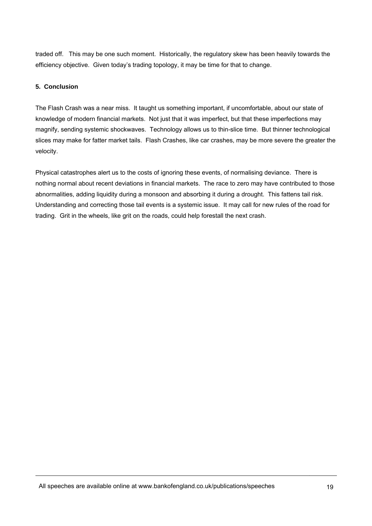traded off. This may be one such moment. Historically, the regulatory skew has been heavily towards the efficiency objective. Given today's trading topology, it may be time for that to change.

# **5. Conclusion**

The Flash Crash was a near miss. It taught us something important, if uncomfortable, about our state of knowledge of modern financial markets. Not just that it was imperfect, but that these imperfections may magnify, sending systemic shockwaves. Technology allows us to thin-slice time. But thinner technological slices may make for fatter market tails. Flash Crashes, like car crashes, may be more severe the greater the velocity.

Physical catastrophes alert us to the costs of ignoring these events, of normalising deviance. There is nothing normal about recent deviations in financial markets. The race to zero may have contributed to those abnormalities, adding liquidity during a monsoon and absorbing it during a drought. This fattens tail risk. Understanding and correcting those tail events is a systemic issue. It may call for new rules of the road for trading. Grit in the wheels, like grit on the roads, could help forestall the next crash.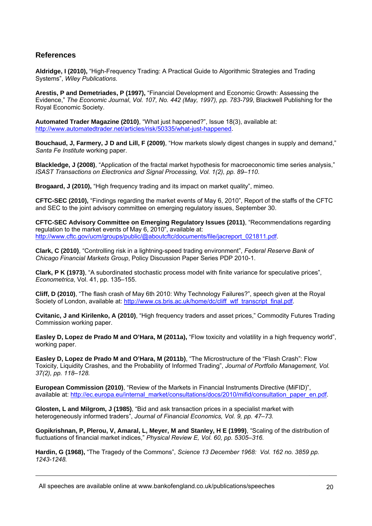# **References**

**Aldridge, I (2010),** "High-Frequency Trading: A Practical Guide to Algorithmic Strategies and Trading Systems", *Wiley Publications.*

**Arestis, P and Demetriades, P (1997),** "Financial Development and Economic Growth: Assessing the Evidence," *The Economic Journal*, *Vol. 107, No. 442 (May, 1997), pp. 783-799*, Blackwell Publishing for the Royal Economic Society.

**Automated Trader Magazine (2010)**, "What just happened?", Issue 18(3), available at: http://www.automatedtrader.net/articles/risk/50335/what-just-happened.

**Bouchaud, J, Farmery, J D and Lill, F (2009)**, "How markets slowly digest changes in supply and demand," *Santa Fe Institute* working paper.

**Blackledge, J (2008)**, "Application of the fractal market hypothesis for macroeconomic time series analysis," *ISAST Transactions on Electronics and Signal Processing, Vol. 1(2), pp. 89–110*.

**Brogaard, J (2010),** "High frequency trading and its impact on market quality", mimeo.

**CFTC-SEC (2010),** "Findings regarding the market events of May 6, 2010", Report of the staffs of the CFTC and SEC to the joint advisory committee on emerging regulatory issues, September 30.

**CFTC-SEC Advisory Committee on Emerging Regulatory Issues (2011)**, "Recommendations regarding regulation to the market events of May 6, 2010", available at: http://www.cftc.gov/ucm/groups/public/@aboutcftc/documents/file/jacreport\_021811.pdf.

**Clark, C (2010)**, "Controlling risk in a lightning-speed trading environment", *Federal Reserve Bank of Chicago Financial Markets Group*, Policy Discussion Paper Series PDP 2010-1.

**Clark, P K (1973)**, "A subordinated stochastic process model with finite variance for speculative prices", *Econometrica*, Vol. 41, pp. 135–155.

**Cliff, D (2010)**, "The flash crash of May 6th 2010: Why Technology Failures?", speech given at the Royal Society of London, available at: http://www.cs.bris.ac.uk/home/dc/cliff\_wtf\_transcript\_final.pdf.

**Cvitanic, J and Kirilenko, A (2010)**, "High frequency traders and asset prices," Commodity Futures Trading Commission working paper.

**Easley D, Lopez de Prado M and O'Hara, M (2011a), "Flow toxicity and volatility in a high frequency world",** working paper.

**Easley D, Lopez de Prado M and O'Hara, M (2011b)**, "The Microstructure of the "Flash Crash": Flow Toxicity, Liquidity Crashes, and the Probability of Informed Trading", *Journal of Portfolio Management, Vol. 37(2), pp. 118–128.* 

**European Commission (2010)**, "Review of the Markets in Financial Instruments Directive (MiFID)", available at: http://ec.europa.eu/internal\_market/consultations/docs/2010/mifid/consultation\_paper\_en.pdf.

**Glosten, L and Milgrom, J (1985)**, "Bid and ask transaction prices in a specialist market with heterogeneously informed traders", *Journal of Financial Economics, Vol. 9, pp. 47–73.*

**Gopikrishnan, P, Plerou, V, Amaral, L, Meyer, M and Stanley, H E (1999)**, "Scaling of the distribution of fluctuations of financial market indices," *Physical Review E, Vol. 60, pp. 5305–316.*

**Hardin, G (1968),** "The Tragedy of the Commons", *Science 13 December 1968: Vol. 162 no. 3859 pp. 1243-1248.*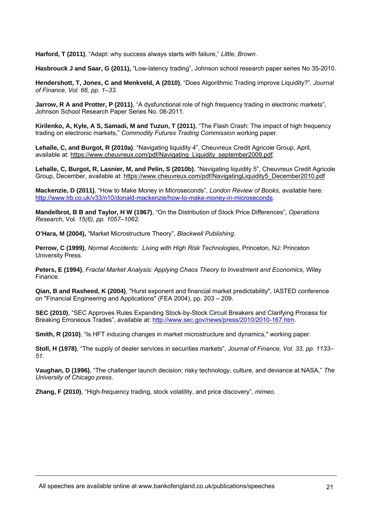**Harford, T (2011)**, "Adapt: why success always starts with failure," *Little*, *Brown*.

**Hasbrouck J and Saar, G (2011),** "Low-latency trading", Johnson school research paper series No 35-2010.

**Hendershott, T, Jones, C and Menkveld, A (2010)**, "Does Algorithmic Trading improve Liquidity?", *Journal of Finance, Vol. 66, pp. 1–33.* 

**Jarrow, R A and Protter, P (2011)**, "A dysfunctional role of high frequency trading in electronic markets", Johnson School Research Paper Series No. 08-2011.

**Kirilenko, A, Kyle, A S, Samadi, M and Tuzun, T (2011)**, "The Flash Crash: The impact of high frequency trading on electronic markets," *Commodity Futures Trading Commission* working paper.

**Lehalle, C, and Burgot, R (2010a)**, "Navigating liquidity 4", Cheuvreux Credit Agricole Group, April, available at: https://www.cheuvreux.com/pdf/Navigating\_Liquidity\_september2009.pdf.

**Lehalle, C, Burgot, R, Lasnier, M, and Pelin, S (2010b)**, "Navigating liquidity 5", Cheuvreux Credit Agricole Group, December, available at: https://www.cheuvreux.com/pdf/NavigatingLiquidity5\_December2010.pdf

**Mackenzie, D (2011)**, "How to Make Money in Microseconds", *London Review of Books*, available here: http://www.lrb.co.uk/v33/n10/donald-mackenzie/how-to-make-money-in-microseconds.

**Mandelbrot, B B and Taylor, H W (1967)**, "On the Distribution of Stock Price Differences", *Operations Research*, Vol*. 15(6), pp. 1057–1062.*

**O'Hara, M (2004),** "Market Microstructure Theory", *Blackwell Publishing*.

**Perrow, C (1999)**, *Normal Accidents: Living with High Risk Technologies*, Princeton, NJ: Princeton University Press.

**Peters, E (1994)**, *Fractal Market Analysis: Applying Chaos Theory to Investment and Economics*, Wiley Finance.

**Qian, B and Rasheed, K (2004)**, "Hurst exponent and financial market predictability", IASTED conference on "Financial Engineering and Applications" (FEA 2004), pp. 203 – 209.

**SEC (2010)**, "SEC Approves Rules Expanding Stock-by-Stock Circuit Breakers and Clarifying Process for Breaking Erroneous Trades", available at: http://www.sec.gov/news/press/2010/2010-167.htm.

**Smith, R (2010)**, "Is HFT inducing changes in market microstructure and dynamics," working paper.

**Stoll, H (1978)**, "The supply of dealer services in securities markets", *Journal of Finance, Vol. 33, pp. 1133– 51.* 

**Vaughan, D (1996)**, "The challenger launch decision: risky technology, culture, and deviance at NASA," *The University of Chicago press*.

**Zhang, F (2010)**, "High-frequency trading, stock volatility, and price discovery", *mimeo*.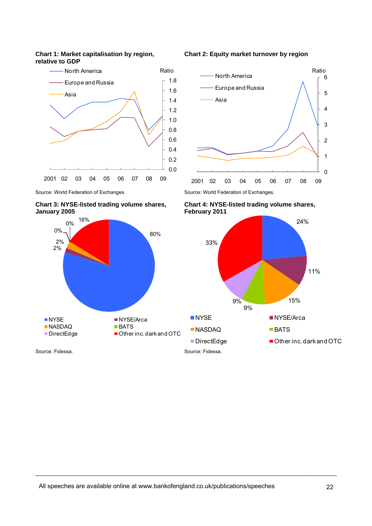



Source: World Federation of Exchanges. Source: World Federation of Exchanges.





#### **Chart 2: Equity market turnover by region**





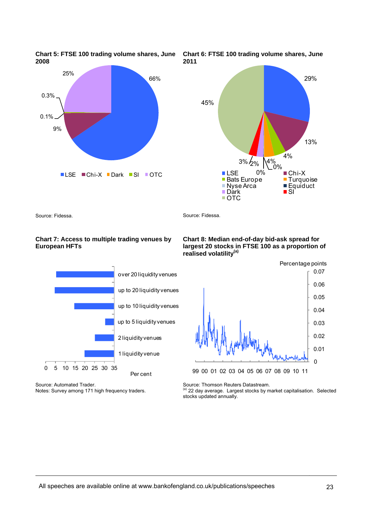

**Chart 6: FTSE 100 trading volume shares, June 2011** 



Source: Fidessa. Source: Fidessa.

# **Chart 7: Access to multiple trading venues by European HFTs**



Source: Automated Trader. Notes: Survey among 171 high frequency traders.

**Chart 8: Median end-of-day bid-ask spread for largest 20 stocks in FTSE 100 as a proportion of realised volatility(a)**



Source: Thomson Reuters Datastream.<br><sup>(a)</sup> 22 day average. Largest stocks by market capitalisation. Selected stocks updated annually.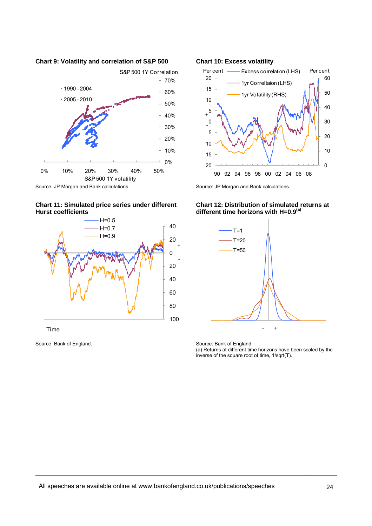







Time

Source: Bank of England. Source: Bank of England



Source: JP Morgan and Bank calculations. Source: JP Morgan and Bank calculations.

#### **Chart 12: Distribution of simulated returns at different time horizons with H=0.9(a)**



(a) Returns at different time horizons have been scaled by the inverse of the square root of time, 1/sqrt(T).